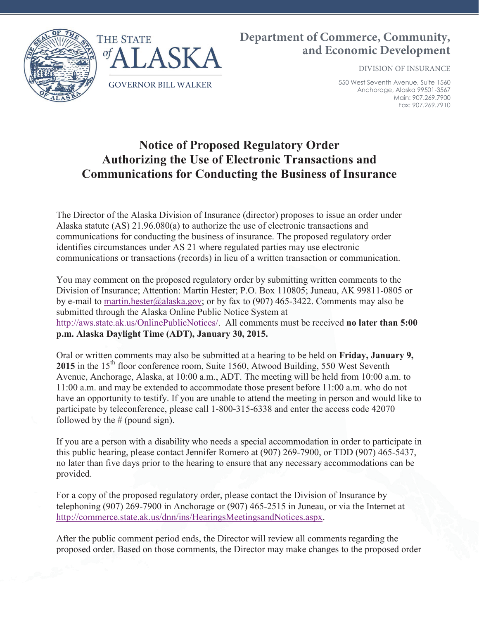

## **Department of Commerce, Community, and Economic Development**

DIVISION OF INSURANCE

550 West Seventh Avenue, Suite 1560 Anchorage, Alaska 99501-3567 Main: 907.269.7900 Fax: 907.269.7910

## **Notice of Proposed Regulatory Order Authorizing the Use of Electronic Transactions and Communications for Conducting the Business of Insurance**

The Director of the Alaska Division of Insurance (director) proposes to issue an order under Alaska statute (AS) 21.96.080(a) to authorize the use of electronic transactions and communications for conducting the business of insurance. The proposed regulatory order identifies circumstances under AS 21 where regulated parties may use electronic communications or transactions (records) in lieu of a written transaction or communication.

You may comment on the proposed regulatory order by submitting written comments to the Division of Insurance; Attention: Martin Hester; P.O. Box 110805; Juneau, AK 99811-0805 or by e-mail to martin.hester@alaska.gov; or by fax to (907) 465-3422. Comments may also be submitted through the Alaska Online Public Notice System at http://aws.state.ak.us/OnlinePublicNotices/. All comments must be received **no later than 5:00 p.m. Alaska Daylight Time (ADT), January 30, 2015.**

Oral or written comments may also be submitted at a hearing to be held on **Friday, January 9,** 2015 in the 15<sup>th</sup> floor conference room, Suite 1560, Atwood Building, 550 West Seventh Avenue, Anchorage, Alaska, at 10:00 a.m., ADT. The meeting will be held from 10:00 a.m. to 11:00 a.m. and may be extended to accommodate those present before 11:00 a.m. who do not have an opportunity to testify. If you are unable to attend the meeting in person and would like to participate by teleconference, please call 1-800-315-6338 and enter the access code 42070 followed by the  $#$  (pound sign).

If you are a person with a disability who needs a special accommodation in order to participate in this public hearing, please contact Jennifer Romero at (907) 269-7900, or TDD (907) 465-5437, no later than five days prior to the hearing to ensure that any necessary accommodations can be provided.

For a copy of the proposed regulatory order, please contact the Division of Insurance by telephoning (907) 269-7900 in Anchorage or (907) 465-2515 in Juneau, or via the Internet at http://commerce.state.ak.us/dnn/ins/HearingsMeetingsandNotices.aspx.

After the public comment period ends, the Director will review all comments regarding the proposed order. Based on those comments, the Director may make changes to the proposed order